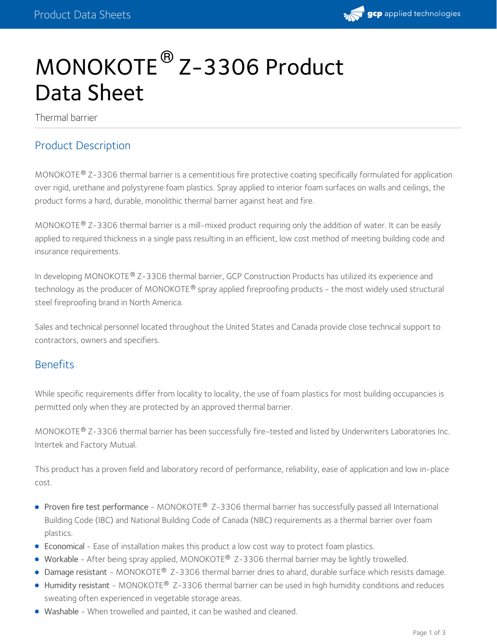# MONOKOTE<sup>®</sup> Z-3306 Product Data Sheet

Thermal barrier

#### Product Description

MONOKOTE® Z-3306 thermal barrier is a cementitious fire protective coating specifically formulated for application over rigid, urethane and polystyrene foam plastics. Spray applied to interior foam surfaces on walls and ceilings, the product forms a hard, durable, monolithic thermal barrier against heat and fire.

MONOKOTE® Z-3306 thermal barrier is a mill-mixed product requiring only the addition of water. It can be easily applied to required thickness in a single pass resulting in an efficient, low cost method of meeting building code and insurance requirements.

In developing MONOKOTE® Z-3306 thermal barrier, GCP Construction Products has utilized its experience and technology as the producer of MONOKOTE $^\circledast$  spray applied fireproofing products - the most widely used structural steel fireproofing brand in North America.

Sales and technical personnel located throughout the United States and Canada provide close technical support to contractors, owners and specifiers.

#### Benefits

While specific requirements differ from locality to locality, the use of foam plastics for most building occupancies is permitted only when they are protected by an approved thermal barrier.

MONOKOTE® Z-3306 thermal barrier has been successfully fire-tested and listed by Underwriters Laboratories Inc. Intertek and Factory Mutual.

This product has a proven field and laboratory record of performance, reliability, ease of application and low in-place cost.

- Proven fire test performance MONOKOTE® Z-3306 thermal barrier has successfully passed all International Building Code (IBC) and National Building Code of Canada (NBC) requirements as a thermal barrier over foam plastics.
- Economical Ease of installation makes this product a low cost way to protect foam plastics.
- Workable After being spray applied, MONOKOTE<sup>®</sup> Z-3306 thermal barrier may be lightly trowelled.
- $\bullet$  Damage resistant MONOKOTE® Z-3306 thermal barrier dries to ahard, durable surface which resists damage.
- Humidity resistant MONOKOTE® Z-3306 thermal barrier can be used in high humidity conditions and reduces sweating often experienced in vegetable storage areas.
- Washable When trowelled and painted, it can be washed and cleaned.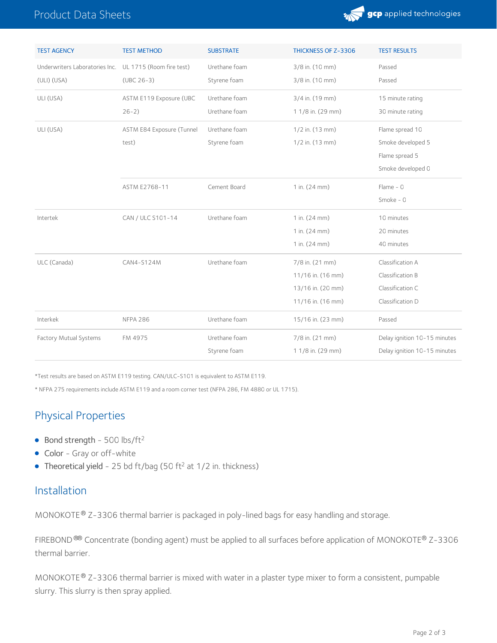## Product Data Sheets



| <b>TEST AGENCY</b>             | <b>TEST METHOD</b>        | <b>SUBSTRATE</b> | THICKNESS OF Z-3306 | <b>TEST RESULTS</b>          |
|--------------------------------|---------------------------|------------------|---------------------|------------------------------|
| Underwriters Laboratories Inc. | UL 1715 (Room fire test)  | Urethane foam    | 3/8 in. (10 mm)     | Passed                       |
| $(ULI)$ $(USA)$                | $(UBC 26-3)$              | Styrene foam     | 3/8 in. (10 mm)     | Passed                       |
| ULI (USA)                      | ASTM E119 Exposure (UBC   | Urethane foam    | 3/4 in. (19 mm)     | 15 minute rating             |
|                                | $26-2)$                   | Urethane foam    | 1 1/8 in. (29 mm)   | 30 minute rating             |
| ULI (USA)                      | ASTM E84 Exposure (Tunnel | Urethane foam    | $1/2$ in. $(13$ mm) | Flame spread 10              |
|                                | test)                     | Styrene foam     | 1/2 in. (13 mm)     | Smoke developed 5            |
|                                |                           |                  |                     | Flame spread 5               |
|                                |                           |                  |                     | Smoke developed 0            |
|                                | ASTM E2768-11             | Cement Board     | 1 in. (24 mm)       | Flame - $0$                  |
|                                |                           |                  |                     | Smoke - $0$                  |
| Intertek                       | CAN / ULC S101-14         | Urethane foam    | 1 in. (24 mm)       | 10 minutes                   |
|                                |                           |                  | 1 in. (24 mm)       | 20 minutes                   |
|                                |                           |                  | 1 in. (24 mm)       | 40 minutes                   |
| ULC (Canada)                   | CAN4-S124M                | Urethane foam    | 7/8 in. (21 mm)     | Classification A             |
|                                |                           |                  | 11/16 in. (16 mm)   | Classification B             |
|                                |                           |                  | 13/16 in. (20 mm)   | Classification C             |
|                                |                           |                  | 11/16 in. (16 mm)   | Classification D             |
| Interkek                       | <b>NFPA 286</b>           | Urethane foam    | 15/16 in. (23 mm)   | Passed                       |
| Factory Mutual Systems         | FM 4975                   | Urethane foam    | 7/8 in. (21 mm)     | Delay ignition 10-15 minutes |
|                                |                           | Styrene foam     | 1 1/8 in. (29 mm)   | Delay ignition 10-15 minutes |

\*Test results are based on ASTM E119 testing. CAN/ULC-S101 is equivalent to ASTM E119.

\* NFPA 275 requirements include ASTM E119 and a room corner test (NFPA 286, FM 4880 or UL 1715).

## Physical Properties

- $\bullet$  Bond strength 500 lbs/ft<sup>2</sup>
- Color Gray or off-white
- Theoretical yield 25 bd ft/bag (50 ft<sup>2</sup> at 1/2 in. thickness)

#### Installation

 $MONOKOTE<sup>®</sup> Z-3306$  thermal barrier is packaged in poly-lined bags for easy handling and storage.

FIREBOND ®® Concentrate (bonding agent) must be applied to all surfaces before application of MONOKOTE® Z-3306 thermal barrier.

MONOKOTE® Z-3306 thermal barrier is mixed with water in a plaster type mixer to form a consistent, pumpable slurry. This slurry is then spray applied.